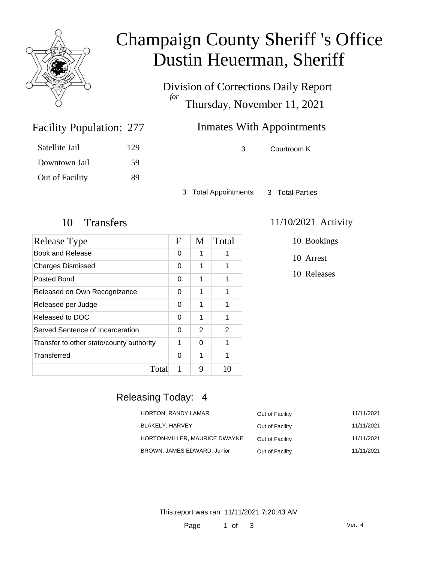

# Champaign County Sheriff 's Office Dustin Heuerman, Sheriff

Division of Corrections Daily Report *for* Thursday, November 11, 2021

# Inmates With Appointments

3 Courtroom K

3 Total Appointments 3 Total Parties

Facility Population: 277

Satellite Jail 129

Downtown Jail 59

Out of Facility 89

| Release Type                             | $\mathbf F$ | M | Total |
|------------------------------------------|-------------|---|-------|
| Book and Release                         | 0           | 1 |       |
| <b>Charges Dismissed</b>                 | 0           | 1 | 1     |
| Posted Bond                              | 0           | 1 |       |
| Released on Own Recognizance             | 0           | 1 |       |
| Released per Judge                       | 0           | 1 | 1     |
| Released to DOC                          | 0           | 1 | 1     |
| Served Sentence of Incarceration         | 0           | 2 | 2     |
| Transfer to other state/county authority | 1           | U | 1     |
| Transferred                              | 0           | 1 | 1     |
| Total                                    |             | Q | 10    |

#### 10 Transfers 11/10/2021 Activity

10 Bookings

10 Arrest

10 Releases

## Releasing Today: 4

| HORTON, RANDY LAMAR           | Out of Facility | 11/11/2021 |
|-------------------------------|-----------------|------------|
| BLAKELY, HARVEY               | Out of Facility | 11/11/2021 |
| HORTON-MILLER, MAURICE DWAYNE | Out of Facility | 11/11/2021 |
| BROWN, JAMES EDWARD, Junior   | Out of Facility | 11/11/2021 |

This report was ran 11/11/2021 7:20:43 AM

Page 1 of 3

Ver. 4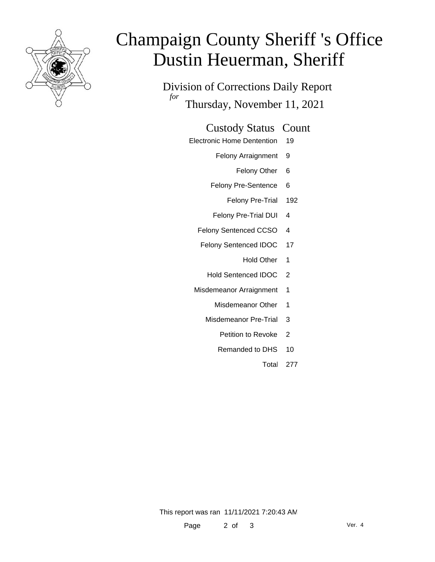

# Champaign County Sheriff 's Office Dustin Heuerman, Sheriff

Division of Corrections Daily Report *for* Thursday, November 11, 2021

#### Custody Status Count

- Electronic Home Dentention 19
	- Felony Arraignment 9
		- Felony Other 6
	- Felony Pre-Sentence 6
		- Felony Pre-Trial 192
	- Felony Pre-Trial DUI 4
	- Felony Sentenced CCSO 4
	- Felony Sentenced IDOC 17
		- Hold Other 1
		- Hold Sentenced IDOC 2
	- Misdemeanor Arraignment 1
		- Misdemeanor Other 1
		- Misdemeanor Pre-Trial 3
			- Petition to Revoke 2
			- Remanded to DHS 10
				- Total 277

This report was ran 11/11/2021 7:20:43 AM